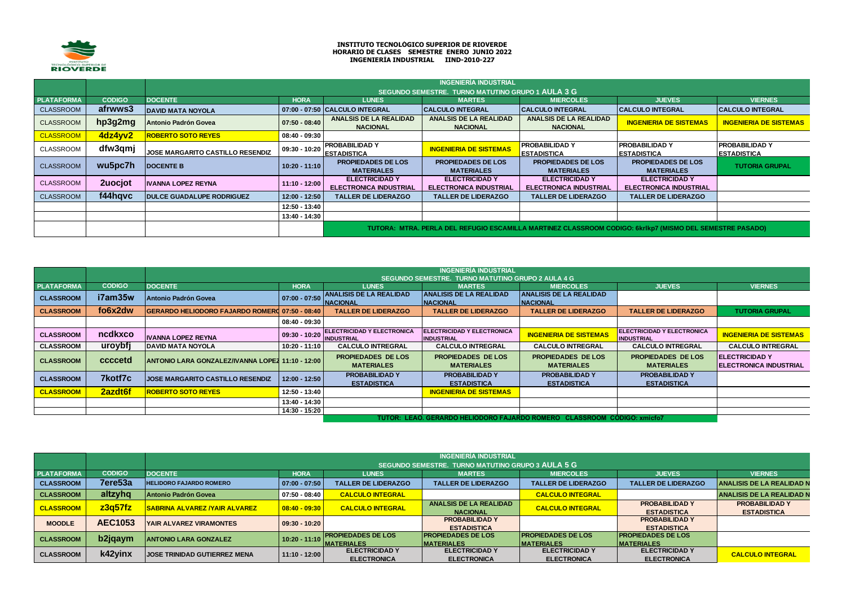

## **INSTITUTO TECNOLÓGICO SUPERIOR DE RIOVERDE HORARIO DE CLASES SEMESTRE ENERO JUNIO 2022 INGENIERÍA INDUSTRIAL IIND-2010-227**

|                   |               |                                  |                 |                                                        | <b>INGENIERÍA INDUSTRIAL</b>                           |                                                        |                                                                                                          |                                             |
|-------------------|---------------|----------------------------------|-----------------|--------------------------------------------------------|--------------------------------------------------------|--------------------------------------------------------|----------------------------------------------------------------------------------------------------------|---------------------------------------------|
|                   |               |                                  |                 |                                                        | SEGUNDO SEMESTRE. TURNO MATUTINO GRUPO 1 AULA 3 G      |                                                        |                                                                                                          |                                             |
| <b>PLATAFORMA</b> | <b>CODIGO</b> | <b>DOCENTE</b>                   | <b>HORA</b>     | <b>LUNES</b>                                           | <b>MARTES</b>                                          | <b>MIERCOLES</b>                                       | <b>JUEVES</b>                                                                                            | <b>VIERNES</b>                              |
| <b>CLASSROOM</b>  | afrwws3       | <b>DAVID MATA NOYOLA</b>         |                 | 07:00 - 07:50 CALCULO INTEGRAL                         | <b>CALCULO INTEGRAL</b>                                | <b>CALCULO INTEGRAL</b>                                | <b>CALCULO INTEGRAL</b>                                                                                  | <b>CALCULO INTEGRAL</b>                     |
| <b>CLASSROOM</b>  | hp3g2mg       | Antonio Padrón Govea             | $07:50 - 08:40$ | <b>ANALSIS DE LA REALIDAD</b><br><b>NACIONAL</b>       | <b>ANALSIS DE LA REALIDAD</b><br><b>NACIONAL</b>       | <b>ANALSIS DE LA REALIDAD</b><br><b>NACIONAL</b>       | <b>INGENIERIA DE SISTEMAS</b>                                                                            | <b>INGENIERIA DE SISTEMAS</b>               |
| <b>CLASSROOM</b>  | 4dz4yv2       | <b>ROBERTO SOTO REYES</b>        | $08:40 - 09:30$ |                                                        |                                                        |                                                        |                                                                                                          |                                             |
| <b>CLASSROOM</b>  | dfw3qmj       | JOSE MARGARITO CASTILLO RESENDIZ | 09:30 - 10:20   | <b>PROBABILIDAD Y</b><br><b>ESTADISTICA</b>            | <b>INGENIERIA DE SISTEMAS</b>                          | <b>PROBABILIDADY</b><br><b>ESTADISTICA</b>             | <b>PROBABILIDAD Y</b><br><b>ESTADISTICA</b>                                                              | <b>PROBABILIDAD Y</b><br><b>ESTADISTICA</b> |
| <b>CLASSROOM</b>  | wu5pc7h       | <b>DOCENTE B</b>                 | $10:20 - 11:10$ | <b>PROPIEDADES DE LOS</b><br><b>MATERIALES</b>         | <b>PROPIEDADES DE LOS</b><br><b>MATERIALES</b>         | <b>PROPIEDADES DE LOS</b><br><b>MATERIALES</b>         | <b>PROPIEDADES DE LOS</b><br><b>MATERIALES</b>                                                           | <b>TUTORIA GRUPAL</b>                       |
| <b>CLASSROOM</b>  | 2uocjot       | IVANNA LOPEZ REYNA               | $11:10 - 12:00$ | <b>ELECTRICIDAD Y</b><br><b>ELECTRONICA INDUSTRIAL</b> | <b>ELECTRICIDAD Y</b><br><b>ELECTRONICA INDUSTRIAL</b> | <b>ELECTRICIDAD Y</b><br><b>ELECTRONICA INDUSTRIAL</b> | <b>ELECTRICIDAD Y</b><br><b>ELECTRONICA INDUSTRIAL</b>                                                   |                                             |
| <b>CLASSROOM</b>  | f44hqvc       | <b>DULCE GUADALUPE RODRIGUEZ</b> | $12:00 - 12:50$ | <b>TALLER DE LIDERAZGO</b>                             | <b>TALLER DE LIDERAZGO</b>                             | <b>TALLER DE LIDERAZGO</b>                             | <b>TALLER DE LIDERAZGO</b>                                                                               |                                             |
|                   |               |                                  | 12:50 - 13:40   |                                                        |                                                        |                                                        |                                                                                                          |                                             |
|                   |               |                                  | 13:40 - 14:30   |                                                        |                                                        |                                                        |                                                                                                          |                                             |
|                   |               |                                  |                 |                                                        |                                                        |                                                        | TUTORA: MTRA. PERLA DEL REFUGIO ESCAMILLA MARTINEZ CLASSROOM CODIGO: 6krikp7 (MISMO DEL SEMESTRE PASADO) |                                             |

|                   |               |                                                       | <b>INGENIERIA INDUSTRIAL</b> |                                                        |                                                        |                                                |                                                 |                                                         |  |  |  |
|-------------------|---------------|-------------------------------------------------------|------------------------------|--------------------------------------------------------|--------------------------------------------------------|------------------------------------------------|-------------------------------------------------|---------------------------------------------------------|--|--|--|
|                   |               |                                                       |                              |                                                        | SEGUNDO SEMESTRE. TURNO MATUTINO GRUPO 2 AULA 4 G      |                                                |                                                 |                                                         |  |  |  |
| <b>PLATAFORMA</b> | <b>CODIGO</b> | <b>DOCENTE</b>                                        | <b>HORA</b>                  | <b>LUNES</b>                                           | <b>MARTES</b>                                          | <b>MIERCOLES</b>                               | <b>JUEVES</b>                                   | <b>VIERNES</b>                                          |  |  |  |
| <b>CLASSROOM</b>  | i7am35w       | <b>Antonio Padrón Govea</b>                           | $07:00 - 07:50$              | <b>ANALISIS DE LA REALIDAD</b>                         | <b>ANALISIS DE LA REALIDAD</b>                         | <b>ANALISIS DE LA REALIDAD</b>                 |                                                 |                                                         |  |  |  |
|                   |               |                                                       |                              | <b>INACIONAL</b>                                       | <b>NACIONAL</b>                                        | <b>NACIONAL</b>                                |                                                 |                                                         |  |  |  |
| <b>CLASSROOM</b>  | fo6x2dw       | <b>GERARDO HELIODORO FAJARDO ROMERO 07:50 - 08:40</b> |                              | <b>TALLER DE LIDERAZGO</b>                             | <b>TALLER DE LIDERAZGO</b>                             | <b>TALLER DE LIDERAZGO</b>                     | <b>TALLER DE LIDERAZGO</b>                      | <b>TUTORIA GRUPAL</b>                                   |  |  |  |
|                   |               |                                                       | 08:40 - 09:30                |                                                        |                                                        |                                                |                                                 |                                                         |  |  |  |
| <b>CLASSROOM</b>  | ncdkxco       | <b>IVANNA LOPEZ REYNA</b>                             | 09:30 - 10:20                | <b>ELECTRICIDAD Y ELECTRONICA</b><br><b>INDUSTRIAL</b> | <b>ELECTRICIDAD Y ELECTRONICA</b><br><b>INDUSTRIAL</b> | <b>INGENIERIA DE SISTEMAS</b>                  | ELECTRICIDAD Y ELECTRONICA<br><b>INDUSTRIAL</b> | <b>INGENIERIA DE SISTEMAS</b>                           |  |  |  |
| <b>CLASSROOM</b>  | urovbfi       | <b>DAVID MATA NOYOLA</b>                              | $10:20 - 11:10$              | <b>CALCULO INTREGRAL</b>                               | <b>CALCULO INTREGRAL</b>                               | <b>CALCULO INTREGRAL</b>                       | <b>CALCULO INTREGRAL</b>                        | <b>CALCULO INTREGRAL</b>                                |  |  |  |
| <b>CLASSROOM</b>  | ccccetd       | ANTONIO LARA GONZALEZ/IVANNA LOPEZ 11:10 - 12:00      |                              | <b>PROPIEDADES DE LOS</b><br><b>MATERIALES</b>         | <b>PROPIEDADES DE LOS</b><br><b>MATERIALES</b>         | <b>PROPIEDADES DE LOS</b><br><b>MATERIALES</b> | <b>PROPIEDADES DE LOS</b><br><b>MATERIALES</b>  | <b>ELECTRICIDAD Y</b><br><b>IELECTRONICA INDUSTRIAL</b> |  |  |  |
| <b>CLASSROOM</b>  | 7kotf7c       | <b>JOSE MARGARITO CASTILLO RESENDIZ</b>               | $12:00 - 12:50$              | <b>PROBABILIDAD Y</b><br><b>ESTADISTICA</b>            | <b>PROBABILIDAD Y</b><br><b>ESTADISTICA</b>            | <b>PROBABILIDAD Y</b><br><b>ESTADISTICA</b>    | <b>PROBABILIDAD Y</b><br><b>ESTADISTICA</b>     |                                                         |  |  |  |
| <b>CLASSROOM</b>  | 2azdt6f       | <b>ROBERTO SOTO REYES</b>                             | 12:50 - 13:40                |                                                        | <b>INGENIERIA DE SISTEMAS</b>                          |                                                |                                                 |                                                         |  |  |  |
|                   |               |                                                       | 13:40 - 14:30                |                                                        |                                                        |                                                |                                                 |                                                         |  |  |  |
|                   |               |                                                       | 14:30 - 15:20                |                                                        |                                                        |                                                |                                                 |                                                         |  |  |  |
|                   |               |                                                       |                              |                                                        | TUTOR: LEAO. GERARDO HELIODORO FAJA                    | <b>CLASSROOM CODIGO: xmicfo7</b>               |                                                 |                                                         |  |  |  |

|                   |                |                                                   | <b>INGENIERÍA INDUSTRIAL</b>                                                                        |                                                 |                                                  |                                                 |                                                 |                                             |  |  |  |  |
|-------------------|----------------|---------------------------------------------------|-----------------------------------------------------------------------------------------------------|-------------------------------------------------|--------------------------------------------------|-------------------------------------------------|-------------------------------------------------|---------------------------------------------|--|--|--|--|
|                   |                | SEGUNDO SEMESTRE. TURNO MATUTINO GRUPO 3 AULA 5 G |                                                                                                     |                                                 |                                                  |                                                 |                                                 |                                             |  |  |  |  |
| <b>PLATAFORMA</b> | <b>CODIGO</b>  | <b>DOCENTE</b>                                    | <b>JUEVES</b><br><b>VIERNES</b><br><b>HORA</b><br><b>MIERCOLES</b><br><b>LUNES</b><br><b>MARTES</b> |                                                 |                                                  |                                                 |                                                 |                                             |  |  |  |  |
| <b>CLASSROOM</b>  | 7ere53a        | <b>HELIDORO FAJARDO ROMERO</b>                    | 07:00 - 07:50                                                                                       | <b>TALLER DE LIDERAZGO</b>                      | <b>TALLER DE LIDERAZGO</b>                       | <b>TALLER DE LIDERAZGO</b>                      | <b>TALLER DE LIDERAZGO</b>                      | ANALISIS DE LA REALIDAD N                   |  |  |  |  |
| <b>CLASSROOM</b>  | altzyhg        | Antonio Padrón Govea                              | $07:50 - 08:40$                                                                                     | <b>CALCULO INTEGRAL</b>                         |                                                  | <b>CALCULO INTEGRAL</b>                         |                                                 | <b>ANALISIS DE LA REALIDAD N</b>            |  |  |  |  |
| <b>CLASSROOM</b>  | z3a57fz        | <b>SABRINA ALVAREZ /YAIR ALVAREZ</b>              | $08:40 - 09:30$                                                                                     | <b>CALCULO INTEGRAL</b>                         | ANALSIS DE LA REALIDAD<br><b>NACIONAL</b>        | <b>CALCULO INTEGRAL</b>                         | <b>PROBABILIDAD Y</b><br><b>ESTADISTICA</b>     | <b>PROBABILIDAD Y</b><br><b>ESTADISTICA</b> |  |  |  |  |
| <b>MOODLE</b>     | <b>AEC1053</b> | <b>YAIR ALVAREZ VIRAMONTES</b>                    | $09:30 - 10:20$                                                                                     |                                                 | <b>PROBABILIDAD Y</b><br><b>ESTADISTICA</b>      |                                                 | <b>PROBABILIDAD Y</b><br><b>ESTADISTICA</b>     |                                             |  |  |  |  |
| <b>CLASSROOM</b>  | b2jqaym        | <b>ANTONIO LARA GONZALEZ</b>                      | 10:20 - 11:10                                                                                       | <b>PROPIEDADES DE LOS</b><br><b>IMATERIALES</b> | <b>IPROPIEDADES DE LOS</b><br><b>IMATERIALES</b> | <b>PROPIEDADES DE LOS</b><br><b>IMATERIALES</b> | <b>PROPIEDADES DE LOS</b><br><b>IMATERIALES</b> |                                             |  |  |  |  |
| <b>CLASSROOM</b>  | k42yinx        | <b>JOSE TRINIDAD GUTIERREZ MENA</b>               | 11:10 - 12:00                                                                                       | <b>ELECTRICIDAD Y</b><br><b>ELECTRONICA</b>     | <b>ELECTRICIDAD Y</b><br><b>ELECTRONICA</b>      | <b>ELECTRICIDAD Y</b><br><b>ELECTRONICA</b>     | <b>ELECTRICIDAD Y</b><br><b>ELECTRONICA</b>     | <b>CALCULO INTEGRAL</b>                     |  |  |  |  |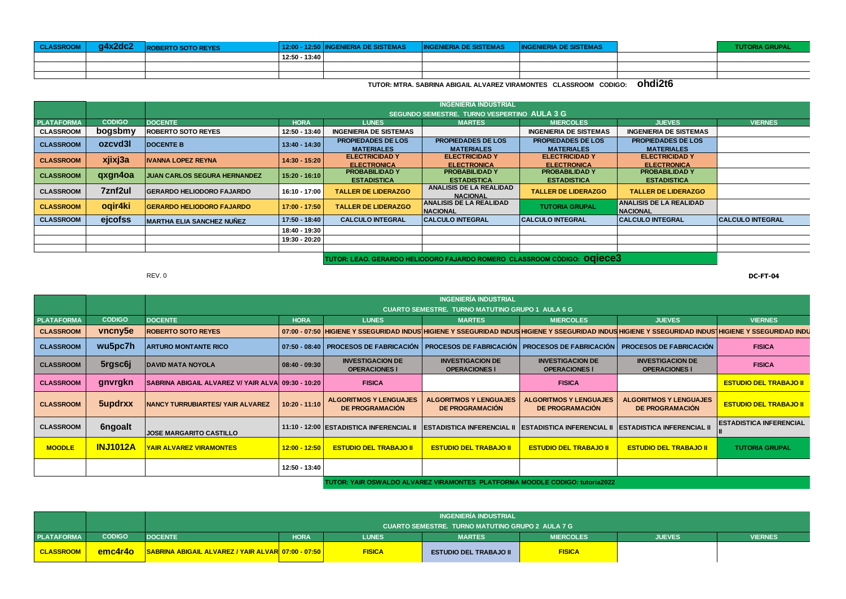| <b>CLASSROOM</b> | q4x2dc2 | <b>ROBERTO SOTO REYES</b> |               | 12:00 - 12:50 INGENIERIA DE SISTEMAS | <b>INGENIERIA DE SISTEMAS</b> | <b>INGENIERIA DE SISTEMAS</b> | <b>TUTORIA GRUPAL</b> |
|------------------|---------|---------------------------|---------------|--------------------------------------|-------------------------------|-------------------------------|-----------------------|
|                  |         |                           | 12:50 - 13:40 |                                      |                               |                               |                       |
|                  |         |                           |               |                                      |                               |                               |                       |
|                  |         |                           |               |                                      |                               |                               |                       |

**TUTOR: MTRA. SABRINA ABIGAIL ALVAREZ VIRAMONTES CLASSROOM CODIGO: ohdi2t6**

|                   |               |                                     | <b>INGENIERÍA INDUSTRIAL</b> |                                                |                                                |                                                |                                                   |                         |  |  |  |
|-------------------|---------------|-------------------------------------|------------------------------|------------------------------------------------|------------------------------------------------|------------------------------------------------|---------------------------------------------------|-------------------------|--|--|--|
|                   |               |                                     |                              |                                                | SEGUNDO SEMESTRE. TURNO VESPERTINO AULA 3 G    |                                                |                                                   |                         |  |  |  |
| <b>PLATAFORMA</b> | <b>CODIGO</b> | <b>DOCENTE</b>                      | <b>HORA</b>                  | <b>LUNES</b>                                   | <b>MARTES</b>                                  | <b>MIERCOLES</b>                               | <b>JUEVES</b>                                     | <b>VIERNES</b>          |  |  |  |
| <b>CLASSROOM</b>  | bogsbmy       | <b>ROBERTO SOTO REYES</b>           | 12:50 - 13:40                | <b>INGENIERIA DE SISTEMAS</b>                  |                                                | <b>INGENIERIA DE SISTEMAS</b>                  | <b>INGENIERIA DE SISTEMAS</b>                     |                         |  |  |  |
| <b>CLASSROOM</b>  | ozcyd3l       | <b>DOCENTE B</b>                    | 13:40 - 14:30                | <b>PROPIEDADES DE LOS</b><br><b>MATERIALES</b> | <b>PROPIEDADES DE LOS</b><br><b>MATERIALES</b> | <b>PROPIEDADES DE LOS</b><br><b>MATERIALES</b> | <b>PROPIEDADES DE LOS</b><br><b>MATERIALES</b>    |                         |  |  |  |
| <b>CLASSROOM</b>  | xjixj3a       | <b>IVANNA LOPEZ REYNA</b>           | 14:30 - 15:20                | <b>ELECTRICIDAD Y</b><br><b>ELECTRONICA</b>    | <b>ELECTRICIDAD Y</b><br><b>ELECTRONICA</b>    | <b>ELECTRICIDAD Y</b><br><b>ELECTRONICA</b>    | <b>ELECTRICIDAD Y</b><br><b>ELECTRONICA</b>       |                         |  |  |  |
| <b>CLASSROOM</b>  | qxgn4oa       | <b>JUAN CARLOS SEGURA HERNANDEZ</b> | $15:20 - 16:10$              | <b>PROBABILIDAD Y</b><br><b>ESTADISTICA</b>    | <b>PROBABILIDAD Y</b><br><b>ESTADISTICA</b>    | <b>PROBABILIDAD Y</b><br><b>ESTADISTICA</b>    | <b>PROBABILIDAD Y</b><br><b>ESTADISTICA</b>       |                         |  |  |  |
| <b>CLASSROOM</b>  | 7znf2ul       | <b>GERARDO HELIODORO FAJARDO</b>    | 16:10 - 17:00                | <b>TALLER DE LIDERAZGO</b>                     | ANALISIS DE LA REALIDAD<br><b>NACIONAL</b>     | <b>TALLER DE LIDERAZGO</b>                     | <b>TALLER DE LIDERAZGO</b>                        |                         |  |  |  |
| <b>CLASSROOM</b>  | ogir4ki       | <b>GERARDO HELIODORO FAJARDO</b>    | 17:00 - 17:50                | <b>TALLER DE LIDERAZGO</b>                     | <b>ANALISIS DE LA REALIDAD</b><br>NACIONAL     | <b>TUTORIA GRUPAL</b>                          | <b>ANALISIS DE LA REALIDAD</b><br><b>NACIONAL</b> |                         |  |  |  |
| <b>CLASSROOM</b>  | ejcofss       | <b>MARTHA ELIA SANCHEZ NUÑEZ</b>    | 17:50 - 18:40                | <b>CALCULO INTEGRAL</b>                        | <b>CALCULO INTEGRAL</b>                        | <b>CALCULO INTEGRAL</b>                        | <b>CALCULO INTEGRAL</b>                           | <b>CALCULO INTEGRAL</b> |  |  |  |
|                   |               |                                     | 18:40 - 19:30                |                                                |                                                |                                                |                                                   |                         |  |  |  |
|                   |               |                                     | 19:30 - 20:20                |                                                |                                                |                                                |                                                   |                         |  |  |  |
|                   |               |                                     |                              |                                                |                                                |                                                |                                                   |                         |  |  |  |
|                   |               |                                     |                              |                                                |                                                |                                                |                                                   |                         |  |  |  |

**TUTOR: LEAO. GERARDO HELIODORO FAJARDO ROMERO CLASSROOM CÓDIGO: oqiece3**

**PLATAFORMA DOCENTE HORA LUNES MARTES MIERCOLES JUEVES VIERNES** CLASSROOM WORD WORD NOUSHIGLENE Y SSEGURIDAD INDUSTRIGHT Y SSEGURIDAD INDUSTRIGHT Y SSEGURIDAD INDUSTRIGHT Y SSEGURIDAD INDUSTRIGHT Y SSEGURIDAD INDUSTRIGHT Y SSEGURIDAD INDUSTRIGHT Y SSEGURIDAD INDUSTRIGHT Y SSEGURIDAD IN **CLASSROOM ARTURO MONTANTE RICO 07:50 - 08:40 PROCESOS DE FABRICACIÓN PROCESOS DE FABRICACIÓN PROCESOS DE FABRICACIÓN PROCESOS DE FABRICACIÓN FISICA CLASSROOM DAVID MATA NOYOLA 08:40 - 09:30 INVESTIGACION DE OPERACIONES l INVESTIGACION DE OPERACIONES l INVESTIGACION DE OPERACIONES l INVESTIGACION DE OPERACIONES l FISICA CLASSROOM SABRINA ABIGAIL ALVAREZ V/ YAIR ALVAREZ 09:30 - 10:20 FISICA FISICA ESTUDIO DEL TRABAJO II CLASSROOM NANCY TURRUBIARTES/ YAIR ALVAREZ 10:20 - 11:10 ALGORITMOS Y LENGUAJES DE PROGRAMACIÓN ALGORITMOS Y LENGUAJES DE PROGRAMACIÓN ALGORITMOS Y LENGUAJES DE PROGRAMACIÓN ALGORITMOS Y LENGUAJES DE PROGRAMACIÓN ESTUDIO DEL TRABAJO II CLASSROOM JOSE MARGARITO CASTILLO 11:10 - 12:00 ESTADISTICA INFERENCIAL II ESTADISTICA INFERENCIAL II ESTADISTICA INFERENCIAL II ESTADISTICA INFERENCIAL II ESTADISTICA INFERENCIAL II MOODLE YAIR ALVAREZ VIRAMONTES 12:00 - 12:50 ESTUDIO DEL TRABAJO II ESTUDIO DEL TRABAJO II ESTUDIO DEL TRABAJO II ESTUDIO DEL TRABAJO II TUTORIA GRUPAL 12:50 - 13:40 TUTOR: YAIR OSWALDO ALVAREZ VIRAMONTES PLATFORMA MOODLE CODIGO: tutoria2022 INGENIERÍA INDUSTRIAL CUARTO SEMESTRE. TURNO MATUTINO GRUPO 1 AULA 6 G vncny5e wu5pc7h 5rgsc6j gnvrgkn 5updrxx 6ngoalt INJ1012A CODIGO** 

|                   |               | INGENIERÍA INDUSTRIAL                              |                                                  |               |                               |                  |               |                |  |  |  |
|-------------------|---------------|----------------------------------------------------|--------------------------------------------------|---------------|-------------------------------|------------------|---------------|----------------|--|--|--|
|                   |               |                                                    | CUARTO SEMESTRE. TURNO MATUTINO GRUPO 2 AULA 7 G |               |                               |                  |               |                |  |  |  |
| <b>PLATAFORMA</b> | <b>CODIGO</b> | <b>DOCENTE</b>                                     | <b>HORA</b>                                      | <b>LUNES</b>  | <b>MARTES</b>                 | <b>MIERCOLES</b> | <b>JUEVES</b> | <b>VIERNES</b> |  |  |  |
| <b>CLASSROOM</b>  | emc4r4o       | SABRINA ABIGAIL ALVAREZ / YAIR ALVAR 07:00 - 07:50 |                                                  | <b>FISICA</b> | <b>ESTUDIO DEL TRABAJO II</b> | <b>FISICA</b>    |               |                |  |  |  |

REV. 0 **DC-FT-04**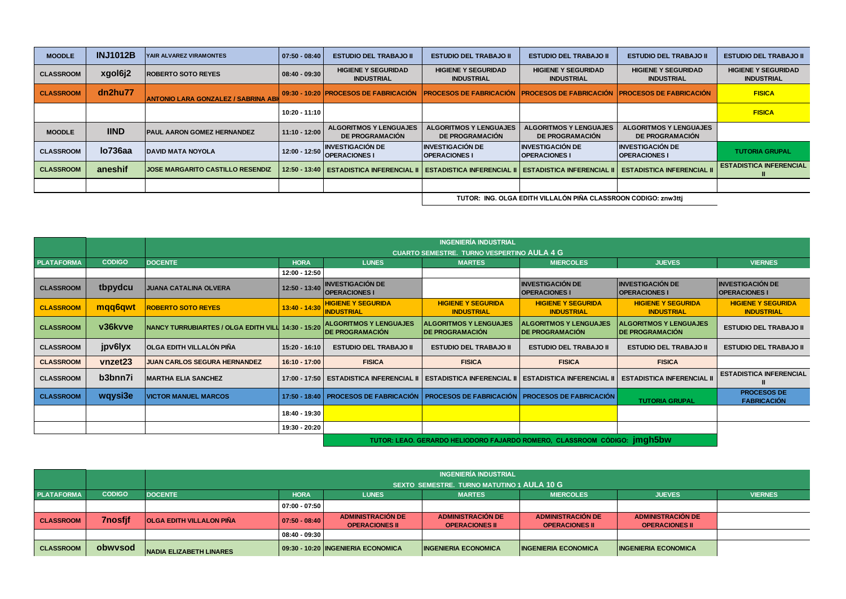| <b>MOODLE</b>    | <b>INJ1012B</b> | YAIR ALVAREZ VIRAMONTES                    | $07:50 - 08:40$ | <b>ESTUDIO DEL TRABAJO II</b>                           | <b>ESTUDIO DEL TRABAJO II</b>                    | <b>ESTUDIO DEL TRABAJO II</b>                                  | <b>ESTUDIO DEL TRABAJO II</b>                           | <b>ESTUDIO DEL TRABAJO II</b>                   |
|------------------|-----------------|--------------------------------------------|-----------------|---------------------------------------------------------|--------------------------------------------------|----------------------------------------------------------------|---------------------------------------------------------|-------------------------------------------------|
| <b>CLASSROOM</b> | xgol6j2         | <b>IROBERTO SOTO REYES</b>                 | $08:40 - 09:30$ | <b>HIGIENE Y SEGURIDAD</b><br><b>INDUSTRIAL</b>         | <b>HIGIENE Y SEGURIDAD</b><br><b>INDUSTRIAL</b>  | <b>HIGIENE Y SEGURIDAD</b><br><b>INDUSTRIAL</b>                | <b>HIGIENE Y SEGURIDAD</b><br><b>INDUSTRIAL</b>         | <b>HIGIENE Y SEGURIDAD</b><br><b>INDUSTRIAL</b> |
| <b>CLASSROOM</b> | dn2hu77         | <b>ANTONIO LARA GONZALEZ / SABRINA ABI</b> |                 | 09:30 - 10:20 PROCESOS DE FABRICACIÓN                   | <b>IPROCESOS DE FABRICACIÓN</b>                  | <b>IPROCESOS DE FABRICACIÓN</b>                                | <b>PROCESOS DE FABRICACIÓN</b>                          | <b>FISICA</b>                                   |
|                  |                 |                                            | 10:20 - 11:10   |                                                         |                                                  |                                                                |                                                         | <b>FISICA</b>                                   |
| <b>MOODLE</b>    | <b>IIND</b>     | <b>IPAUL AARON GOMEZ HERNANDEZ</b>         | $11:10 - 12:00$ | <b>ALGORITMOS Y LENGUAJES</b><br><b>DE PROGRAMACIÓN</b> | <b>ALGORITMOS Y LENGUAJES</b><br>DE PROGRAMACIÓN | <b>ALGORITMOS Y LENGUAJES</b><br><b>DE PROGRAMACIÓN</b>        | <b>ALGORITMOS Y LENGUAJES</b><br><b>DE PROGRAMACIÓN</b> |                                                 |
| <b>CLASSROOM</b> | lo736aa         | <b>DAVID MATA NOYOLA</b>                   | 12:00 - 12:50   | <b>INVESTIGACIÓN DE</b><br><b>IOPERACIONES I</b>        | <b>INVESTIGACIÓN DE</b><br><b>OPERACIONES I</b>  | <b>INVESTIGACIÓN DE</b><br><b>OPERACIONES I</b>                | <b>INVESTIGACIÓN DE</b><br><b>OPERACIONES I</b>         | <b>TUTORIA GRUPAL</b>                           |
| <b>CLASSROOM</b> | aneshif         | <b>IJOSE MARGARITO CASTILLO RESENDIZ</b>   |                 | 12:50 - 13:40   ESTADISTICA INFERENCIAL II              | <b>ESTADISTICA INFERENCIAL</b>                   | <b>ESTADISTICA INFERENCIAL II</b>                              | <b>ESTADISTICA INFERENCIAL II</b>                       | <b>ESTADISTICA INFERENCIAL</b>                  |
|                  |                 |                                            |                 |                                                         |                                                  |                                                                |                                                         |                                                 |
|                  |                 |                                            |                 |                                                         |                                                  | TUTOR: ING. OLGA EDITH VILLALÓN PIÑA CLASSROON CODIGO: znw3tti |                                                         |                                                 |

|                   |               |                                                            |                 |                                                          | <b>INGENIERÍA INDUSTRIAL</b>                            |                                                                                             |                                                          |                                                 |
|-------------------|---------------|------------------------------------------------------------|-----------------|----------------------------------------------------------|---------------------------------------------------------|---------------------------------------------------------------------------------------------|----------------------------------------------------------|-------------------------------------------------|
|                   |               |                                                            |                 |                                                          | <b>CUARTO SEMESTRE. TURNO VESPERTINO AULA 4 G</b>       |                                                                                             |                                                          |                                                 |
| <b>PLATAFORMA</b> | <b>CODIGO</b> | <b>DOCENTE</b>                                             | <b>HORA</b>     | <b>LUNES</b>                                             | <b>MARTES</b>                                           | <b>MIERCOLES</b>                                                                            | <b>JUEVES</b>                                            | <b>VIERNES</b>                                  |
|                   |               |                                                            | 12:00 - 12:50   |                                                          |                                                         |                                                                                             |                                                          |                                                 |
| <b>CLASSROOM</b>  | tbpydcu       | <b>JUANA CATALINA OLVERA</b>                               | $12:50 - 13:40$ | <b>INVESTIGACIÓN DE</b><br><b>OPERACIONES I</b>          |                                                         | <b>INVESTIGACIÓN DE</b><br><b>OPERACIONES I</b>                                             | <b>INVESTIGACIÓN DE</b><br><b>OPERACIONES I</b>          | <b>INVESTIGACIÓN DE</b><br><b>OPERACIONES I</b> |
| <b>CLASSROOM</b>  | mqq6qwt       | <b>ROBERTO SOTO REYES</b>                                  | $13:40 - 14:30$ | <b>HIGIENE Y SEGURIDA</b><br><b>INDUSTRIAL</b>           | <b>HIGIENE Y SEGURIDA</b><br><b>INDUSTRIAL</b>          | <b>HIGIENE Y SEGURIDA</b><br><b>INDUSTRIAL</b>                                              | <b>HIGIENE Y SEGURIDA</b><br><b>INDUSTRIAL</b>           | <b>HIGIENE Y SEGURIDA</b><br><b>INDUSTRIAL</b>  |
| <b>CLASSROOM</b>  | v36kvve       | <b>INANCY TURRUBIARTES / OLGA EDITH VILL 14:30 - 15:20</b> |                 | <b>ALGORITMOS Y LENGUAJES</b><br><b>IDE PROGRAMACIÓN</b> | <b>ALGORITMOS Y LENGUAJES</b><br><b>DE PROGRAMACIÓN</b> | <b>ALGORITMOS Y LENGUAJES</b><br><b>IDE PROGRAMACIÓN</b>                                    | <b>ALGORITMOS Y LENGUAJES</b><br><b>IDE PROGRAMACIÓN</b> | <b>ESTUDIO DEL TRABAJO II</b>                   |
| <b>CLASSROOM</b>  | jpv6lyx       | OLGA EDITH VILLALÓN PIÑA                                   | 15:20 - 16:10   | <b>ESTUDIO DEL TRABAJO II</b>                            | <b>ESTUDIO DEL TRABAJO II</b>                           | <b>ESTUDIO DEL TRABAJO II</b>                                                               | <b>ESTUDIO DEL TRABAJO II</b>                            | <b>ESTUDIO DEL TRABAJO II</b>                   |
| <b>CLASSROOM</b>  | vnzet23       | JUAN CARLOS SEGURA HERNANDEZ                               | $16:10 - 17:00$ | <b>FISICA</b>                                            | <b>FISICA</b>                                           | <b>FISICA</b>                                                                               | <b>FISICA</b>                                            |                                                 |
| <b>CLASSROOM</b>  | b3bnn7i       | <b>MARTHA ELIA SANCHEZ</b>                                 |                 | 17:00 - 17:50   ESTADISTICA INFERENCIAL II               | <b>ESTADISTICA INFERENCIAL II</b>                       | <b>ESTADISTICA INFERENCIAL II</b>                                                           | <b>ESTADISTICA INFERENCIAL II</b>                        | <b>ESTADISTICA INFERENCIAL</b>                  |
| <b>CLASSROOM</b>  | wqysi3e       | <b>VICTOR MANUEL MARCOS</b>                                |                 |                                                          |                                                         | 17:50 - 18:40   PROCESOS DE FABRICACIÓN   PROCESOS DE FABRICACIÓN   PROCESOS DE FABRICACIÓN | <b>TUTORIA GRUPAL</b>                                    | <b>PROCESOS DE</b><br><b>FABRICACIÓN</b>        |
|                   |               |                                                            | 18:40 - 19:30   |                                                          |                                                         |                                                                                             |                                                          |                                                 |
|                   |               |                                                            | 19:30 - 20:20   |                                                          |                                                         |                                                                                             |                                                          |                                                 |
|                   |               |                                                            |                 |                                                          |                                                         | TUTOR: LEAO. GERARDO HELIODORO FAJARDO ROMERO, CLASSROOM CÓDIGO: jmgh5bw                    |                                                          |                                                 |

|                   |                |                                            | <b>INGENIERÍA INDUSTRIAL</b>                                                                        |                                                   |                                                   |                                                   |                                                   |  |  |  |  |
|-------------------|----------------|--------------------------------------------|-----------------------------------------------------------------------------------------------------|---------------------------------------------------|---------------------------------------------------|---------------------------------------------------|---------------------------------------------------|--|--|--|--|
|                   |                | SEXTO SEMESTRE. TURNO MATUTINO 1 AULA 10 G |                                                                                                     |                                                   |                                                   |                                                   |                                                   |  |  |  |  |
| <b>PLATAFORMA</b> | <b>CODIGO</b>  | <b>DOCENTE</b>                             | <b>HORA</b><br><b>JUEVES</b><br><b>VIERNES</b><br><b>MIERCOLES</b><br><b>LUNES</b><br><b>MARTES</b> |                                                   |                                                   |                                                   |                                                   |  |  |  |  |
|                   |                |                                            | $07:00 - 07:50$                                                                                     |                                                   |                                                   |                                                   |                                                   |  |  |  |  |
| <b>CLASSROOM</b>  | <b>7nosfif</b> | <b>OLGA EDITH VILLALON PIÑA</b>            | $ 07:50 - 08:40 $                                                                                   | <b>ADMINISTRACIÓN DE</b><br><b>OPERACIONES II</b> | <b>ADMINISTRACIÓN DE</b><br><b>OPERACIONES II</b> | <b>ADMINISTRACIÓN DE</b><br><b>OPERACIONES II</b> | <b>ADMINISTRACIÓN DE</b><br><b>OPERACIONES II</b> |  |  |  |  |
|                   |                |                                            | $08:40 - 09:30$                                                                                     |                                                   |                                                   |                                                   |                                                   |  |  |  |  |
| <b>CLASSROOM</b>  | obwysod        | <b>INADIA ELIZABETH LINARES</b>            |                                                                                                     | 09:30 - 10:20 INGENIERIA ECONOMICA                | <b>INGENIERIA ECONOMICA</b>                       | <b>INGENIERIA ECONOMICA</b>                       | <b>INGENIERIA ECONOMICA</b>                       |  |  |  |  |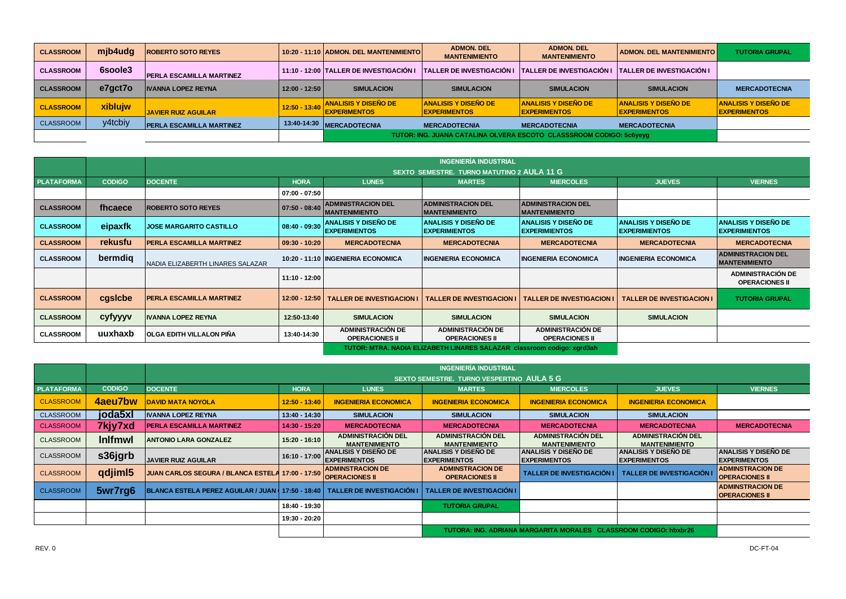| <b>CLASSROOM</b> | mjb4udg | <b>ROBERTO SOTO REYES</b>       |                 | 10:20 - 11:10 ADMON, DEL MANTENIMIENTO                              | <b>ADMON, DEL</b><br><b>MANTENIMIENTO</b>          | <b>ADMON, DEL</b><br><b>MANTENIMIENTO</b>                  | <b>ADMON, DEL MANTENIMIENTO I</b>                  | <b>TUTORIA GRUPAL</b>                              |
|------------------|---------|---------------------------------|-----------------|---------------------------------------------------------------------|----------------------------------------------------|------------------------------------------------------------|----------------------------------------------------|----------------------------------------------------|
| <b>CLASSROOM</b> | 6soole3 | <b>PERLA ESCAMILLA MARTINEZ</b> |                 | 11:10 - 12:00 TALLER DE INVESTIGACIÓN I                             | <b>TALLER DE INVESTIGACIÓN I</b>                   | <b>TALLER DE INVESTIGACIÓN I TALLER DE INVESTIGACIÓN I</b> |                                                    |                                                    |
| <b>CLASSROOM</b> | e7qct7o | <b>IVANNA LOPEZ REYNA</b>       | $12:00 - 12:50$ | <b>SIMULACION</b>                                                   | <b>SIMULACION</b>                                  | <b>SIMULACION</b>                                          | <b>SIMULACION</b>                                  | <b>MERCADOTECNIA</b>                               |
| <b>CLASSROOM</b> | xiblujw | <b>JAVIER RUIZ AGUILAR</b>      | $12:50 - 13:40$ | <b>ANALISIS Y DISEÑO DE</b><br><b>EXPERIMENTOS</b>                  | <b>ANALISIS Y DISEÑO DE</b><br><b>EXPERIMENTOS</b> | <b>ANALISIS Y DISEÑO DE</b><br><b>IEXPERIMENTOS</b>        | <b>ANALISIS Y DISEÑO DE</b><br><b>EXPERIMENTOS</b> | <b>ANALISIS Y DISEÑO DE</b><br><b>EXPERIMENTOS</b> |
| <b>CLASSROOM</b> | y4tcbiy | <b>PERLA ESCAMILLA MARTINEZ</b> |                 | 13:40-14:30 MERCADOTECNIA                                           | <b>MERCADOTECNIA</b>                               | <b>MERCADOTECNIA</b>                                       | <b>MERCADOTECNIA</b>                               |                                                    |
|                  |         |                                 |                 | TUTOR: ING. JUANA CATALINA OLVERA ESCOTO CLASSSROOM CODIGO: 5c6yeyg |                                                    |                                                            |                                                    |                                                    |

|                   |               |                                  |                 |                                                                   | <b>INGENIERÍA INDUSTRIAL</b>                                           |                                                     |                                              |                                                     |
|-------------------|---------------|----------------------------------|-----------------|-------------------------------------------------------------------|------------------------------------------------------------------------|-----------------------------------------------------|----------------------------------------------|-----------------------------------------------------|
|                   |               |                                  |                 |                                                                   | SEXTO SEMESTRE. TURNO MATUTINO 2 AULA 11 G                             |                                                     |                                              |                                                     |
| <b>PLATAFORMA</b> | <b>CODIGO</b> | <b>DOCENTE</b>                   | <b>HORA</b>     | <b>LUNES</b>                                                      | <b>MARTES</b>                                                          | <b>MIERCOLES</b>                                    | <b>JUEVES</b>                                | <b>VIERNES</b>                                      |
|                   |               |                                  | $07:00 - 07:50$ |                                                                   |                                                                        |                                                     |                                              |                                                     |
| <b>CLASSROOM</b>  | fhcaece       | <b>IROBERTO SOTO REYES</b>       |                 | 07:50 - 08:40 ADMINISTRACION DEL<br><b>MANTENIMIENTO</b>          | <b>ADMINISTRACION DEL</b><br><b>MANTENIMIENTO</b>                      | <b>ADMINISTRACION DEL</b><br><b>IMANTENIMIENTO</b>  |                                              |                                                     |
| <b>CLASSROOM</b>  | eipaxfk       | <b>JOSE MARGARITO CASTILLO</b>   |                 | 08:40 - 09:30 ANALISIS Y DISEÑO DE<br><b>EXPERIMIENTOS</b>        | ANALISIS Y DISEÑO DE<br><b>EXPERIMIENTOS</b>                           | <b>ANALISIS Y DISEÑO DE</b><br><b>EXPERIMIENTOS</b> | ANALISIS Y DISEÑO DE<br><b>EXPERIMIENTOS</b> | <b>ANALISIS Y DISEÑO DE</b><br><b>EXPERIMIENTOS</b> |
| <b>CLASSROOM</b>  | rekusfu       | <b>PERLA ESCAMILLA MARTINEZ</b>  | $09:30 - 10:20$ | <b>MERCADOTECNIA</b>                                              | <b>MERCADOTECNIA</b>                                                   | <b>MERCADOTECNIA</b>                                | <b>MERCADOTECNIA</b>                         | <b>MERCADOTECNIA</b>                                |
| <b>CLASSROOM</b>  | bermdig       | NADIA ELIZABERTH LINARES SALAZAR |                 | 10:20 - 11:10 INGENIERIA ECONOMICA                                | <b>INGENIERIA ECONOMICA</b>                                            | <b>INGENIERIA ECONOMICA</b>                         | <b>INGENIERIA ECONOMICA</b>                  | <b>ADMINISTRACION DEL</b><br><b>IMANTENIMIENTO</b>  |
|                   |               |                                  | 11:10 - 12:00   |                                                                   |                                                                        |                                                     |                                              | <b>ADMINISTRACIÓN DE</b><br><b>OPERACIONES II</b>   |
| <b>CLASSROOM</b>  | cgsicbe       | <b>PERLA ESCAMILLA MARTINEZ</b>  |                 | 12:00 - 12:50 TALLER DE INVESTIGACION I TALLER DE INVESTIGACION I |                                                                        | <b>TALLER DE INVESTIGACION</b>                      | <b>TALLER DE INVESTIGACION I</b>             | <b>TUTORIA GRUPAL</b>                               |
| <b>CLASSROOM</b>  | cyfyyyv       | <b>IVANNA LOPEZ REYNA</b>        | 12:50-13:40     | <b>SIMULACION</b>                                                 | <b>SIMULACION</b>                                                      | <b>SIMULACION</b>                                   | <b>SIMULACION</b>                            |                                                     |
| <b>CLASSROOM</b>  | uuxhaxb       | OLGA EDITH VILLALON PIÑA         | 13:40-14:30     | <b>ADMINISTRACIÓN DE</b><br><b>OPERACIONES II</b>                 | <b>ADMINISTRACIÓN DE</b><br><b>OPERACIONES II</b>                      | <b>ADMINISTRACIÓN DE</b><br><b>OPERACIONES II</b>   |                                              |                                                     |
|                   |               |                                  |                 |                                                                   | TUTOR: MTRA. NADIA ELIZABETH LINARES SALAZAR classroom codigo: xgrd3ah |                                                     |                                              |                                                     |

|                   |                     |                                                                                                            |                 |                                                    | <b>INGENIERÍA INDUSTRIAL</b>                        |                                                     |                                                     |                                                     |
|-------------------|---------------------|------------------------------------------------------------------------------------------------------------|-----------------|----------------------------------------------------|-----------------------------------------------------|-----------------------------------------------------|-----------------------------------------------------|-----------------------------------------------------|
|                   |                     |                                                                                                            |                 |                                                    | <b>SEXTO SEMESTRE. TURNO VESPERTINO AULA 5 G</b>    |                                                     |                                                     |                                                     |
| <b>PLATAFORMA</b> | <b>CODIGO</b>       | <b>DOCENTE</b>                                                                                             | <b>HORA</b>     | <b>LUNES</b>                                       | <b>MARTES</b>                                       | <b>MIERCOLES</b>                                    | <b>JUEVES</b>                                       | <b>VIERNES</b>                                      |
| <b>CLASSROOM</b>  | 4aeu7bw             | <b>DAVID MATA NOYOLA</b>                                                                                   | $12:50 - 13:40$ | <b>INGENIERIA ECONOMICA</b>                        | <b>INGENIERIA ECONOMICA</b>                         | <b>INGENIERIA ECONOMICA</b>                         | <b>INGENIERIA ECONOMICA</b>                         |                                                     |
| <b>CLASSROOM</b>  | joda5xl             | <b>IVANNA LOPEZ REYNA</b>                                                                                  | 13:40 - 14:30   | <b>SIMULACION</b>                                  | <b>SIMULACION</b>                                   | <b>SIMULACION</b>                                   | <b>SIMULACION</b>                                   |                                                     |
| <b>CLASSROOM</b>  | 7kjy7xd             | <b>PERLA ESCAMILLA MARTINEZ</b>                                                                            | 14:30 - 15:20   | <b>MERCADOTECNIA</b>                               | <b>MERCADOTECNIA</b>                                | <b>MERCADOTECNIA</b>                                | <b>MERCADOTECNIA</b>                                | <b>MERCADOTECNIA</b>                                |
| <b>CLASSROOM</b>  | <b>Inifmwl</b>      | <b>ANTONIO LARA GONZALEZ</b>                                                                               | $15:20 - 16:10$ | <b>ADMINISTRACIÓN DEL</b><br><b>MANTENIMIENTO</b>  | <b>ADMINISTRACIÓN DEL</b><br><b>MANTENIMIENTO</b>   | <b>ADMINISTRACIÓN DEL</b><br><b>MANTENIMIENTO</b>   | <b>ADMINISTRACIÓN DEL</b><br><b>MANTENIMIENTO</b>   |                                                     |
| CLASSROOM         | s36jgrb             | <b>JAVIER RUIZ AGUILAR</b>                                                                                 | 16:10 - 17:00   | <b>ANALISIS Y DISENO DE</b><br><b>EXPERIMENTOS</b> | <b>ANALISIS Y DISENO DE</b><br><b>IEXPERIMENTOS</b> | <b>ANALISIS Y DISENO DE</b><br><b>IEXPERIMENTOS</b> | <b>ANALISIS Y DISENO DE</b><br><b>IEXPERIMENTOS</b> | <b>ANALISIS Y DISEÑO DE</b><br><b>IEXPERIMENTOS</b> |
| <b>CLASSROOM</b>  | qdjim <sub>15</sub> | JUAN CARLOS SEGURA / BLANCA ESTELA 17:00 - 17:50                                                           |                 | <b>ADMINSTRACION DE</b><br><b>OPERACIONES II</b>   | <b>ADMINSTRACION DE</b><br><b>OPERACIONES II</b>    | <b>TALLER DE INVESTIGACIÓN I</b>                    | <b>TALLER DE INVESTIGACIÓN</b>                      | <b>ADMINSTRACION DE</b><br><b>OPERACIONES II</b>    |
| <b>CLASSROOM</b>  | 5wr7rg6             | BLANCA ESTELA PEREZ AGUILAR / JUAN ( 17:50 - 18:40   TALLER DE INVESTIGACIÓN I   TALLER DE INVESTIGACIÓN I |                 |                                                    |                                                     |                                                     |                                                     | <b>ADMINSTRACION DE</b><br><b>OPERACIONES II</b>    |
|                   |                     |                                                                                                            | 18:40 - 19:30   |                                                    | TUTORIA GRUPAL                                      |                                                     |                                                     |                                                     |
|                   |                     |                                                                                                            | 19:30 - 20:20   |                                                    |                                                     |                                                     |                                                     |                                                     |
|                   |                     | TUTORA: ING. ADRIANA MARGARITA MORALES CLASSROOM CODIGO: hbxbr26                                           |                 |                                                    |                                                     |                                                     |                                                     |                                                     |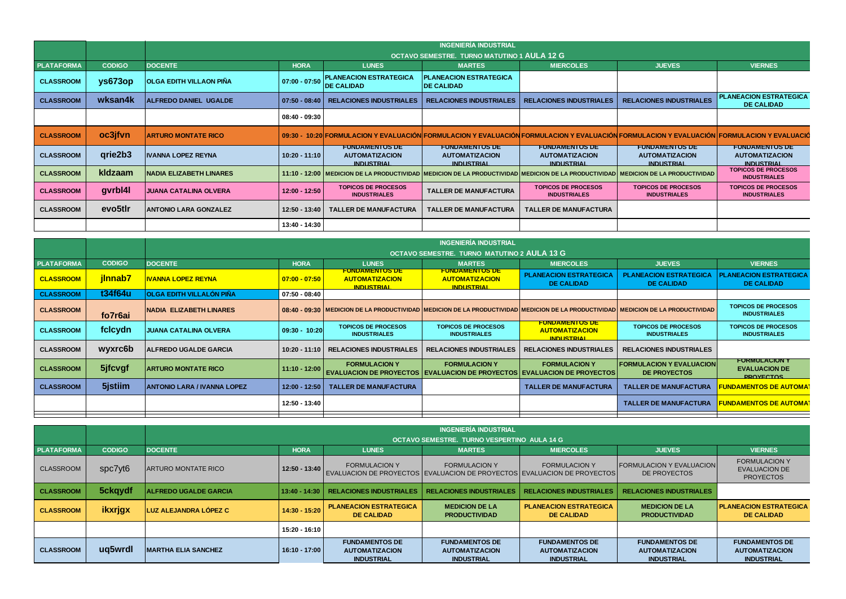|                   |                     | <b>INGENIERÍA INDUSTRIAL</b>                       |                 |                                                                     |                                                                                                                                                                    |                                                                     |                                                                     |                                                                     |  |  |  |  |
|-------------------|---------------------|----------------------------------------------------|-----------------|---------------------------------------------------------------------|--------------------------------------------------------------------------------------------------------------------------------------------------------------------|---------------------------------------------------------------------|---------------------------------------------------------------------|---------------------------------------------------------------------|--|--|--|--|
|                   |                     | <b>OCTAVO SEMESTRE. TURNO MATUTINO 1 AULA 12 G</b> |                 |                                                                     |                                                                                                                                                                    |                                                                     |                                                                     |                                                                     |  |  |  |  |
| <b>PLATAFORMA</b> | <b>CODIGO</b>       | <b>DOCENTE</b>                                     | <b>HORA</b>     | <b>LUNES</b>                                                        | <b>MARTES</b>                                                                                                                                                      | <b>MIERCOLES</b>                                                    | <b>JUEVES</b>                                                       | <b>VIERNES</b>                                                      |  |  |  |  |
| <b>CLASSROOM</b>  | $\gamma$ s673op     | <b>OLGA EDITH VILLAON PIÑA</b>                     | $07:00 - 07:50$ | <b>PLANEACION ESTRATEGICA</b><br><b>DE CALIDAD</b>                  | <b>PLANEACION ESTRATEGICA</b><br><b>DE CALIDAD</b>                                                                                                                 |                                                                     |                                                                     |                                                                     |  |  |  |  |
| <b>CLASSROOM</b>  | wksan4k             | <b>ALFREDO DANIEL UGALDE</b>                       |                 | 07:50 - 08:40   RELACIONES INDUSTRIALES                             | <b>RELACIONES INDUSTRIALES</b>                                                                                                                                     | <b>RELACIONES INDUSTRIALES</b>                                      | <b>RELACIONES INDUSTRIALES</b>                                      | <b>PLANEACION ESTRATEGICA</b><br><b>DE CALIDAD</b>                  |  |  |  |  |
|                   |                     |                                                    | $08:40 - 09:30$ |                                                                     |                                                                                                                                                                    |                                                                     |                                                                     |                                                                     |  |  |  |  |
| <b>CLASSROOM</b>  | oc3jfvn             | <b>ARTURO MONTATE RICO</b>                         |                 |                                                                     | 09:30 - 10:20 FORMULACION Y EVALUACIÓN FORMULACION Y EVALUACIÓN FORMULACION Y EVALUACIÓN FORMULACION Y EVALUACIÓN FORMULACION Y EVALUACIÓN FORMULACION Y EVALUACIÓ |                                                                     |                                                                     |                                                                     |  |  |  |  |
| <b>CLASSROOM</b>  | qrie2b3             | <b>IVANNA LOPEZ REYNA</b>                          | $10:20 - 11:10$ | <b>FUNDAMENTOS DE</b><br><b>AUTOMATIZACION</b><br><b>INDUSTRIAL</b> | <b>FUNDAMENTOS DE</b><br><b>AUTOMATIZACION</b><br><b>INDUSTRIAL</b>                                                                                                | <b>FUNDAMENTOS DE</b><br><b>AUTOMATIZACION</b><br><b>INDUSTRIAL</b> | <b>FUNDAMENTOS DE</b><br><b>AUTOMATIZACION</b><br><b>INDUSTRIAL</b> | <b>FUNDAMENTOS DE</b><br><b>AUTOMATIZACION</b><br><b>INDUSTRIAL</b> |  |  |  |  |
| <b>CLASSROOM</b>  | kldzaam             | <b>NADIA ELIZABETH LINARES</b>                     |                 |                                                                     | 11:10 - 12:00   MEDICION DE LA PRODUCTIVIDAD  MEDICION DE LA PRODUCTIVIDAD   MEDICION DE LA PRODUCTIVIDAD   MEDICION DE LA PRODUCTIVIDAD                           |                                                                     |                                                                     | <b>TOPICOS DE PROCESOS</b><br><b>INDUSTRIALES</b>                   |  |  |  |  |
| <b>CLASSROOM</b>  | gvrbl4l             | <b>JUANA CATALINA OLVERA</b>                       | 12:00 - 12:50   | <b>TOPICOS DE PROCESOS</b><br><b>INDUSTRIALES</b>                   | <b>TALLER DE MANUFACTURA</b>                                                                                                                                       | <b>TOPICOS DE PROCESOS</b><br><b>INDUSTRIALES</b>                   | <b>TOPICOS DE PROCESOS</b><br><b>INDUSTRIALES</b>                   | <b>TOPICOS DE PROCESOS</b><br><b>INDUSTRIALES</b>                   |  |  |  |  |
| <b>CLASSROOM</b>  | evo <sub>5tlr</sub> | <b>ANTONIO LARA GONZALEZ</b>                       | 12:50 - 13:40   | <b>TALLER DE MANUFACTURA</b>                                        | <b>TALLER DE MANUFACTURA</b>                                                                                                                                       | <b>TALLER DE MANUFACTURA</b>                                        |                                                                     |                                                                     |  |  |  |  |
|                   |                     |                                                    | 13:40 - 14:30   |                                                                     |                                                                                                                                                                    |                                                                     |                                                                     |                                                                     |  |  |  |  |

|                   |               | <b>INGENIERÍA INDUSTRIAL</b>                       |                   |                                                                     |                                                                                                        |                                                                     |                                                                                                                                           |                                                                  |  |  |  |
|-------------------|---------------|----------------------------------------------------|-------------------|---------------------------------------------------------------------|--------------------------------------------------------------------------------------------------------|---------------------------------------------------------------------|-------------------------------------------------------------------------------------------------------------------------------------------|------------------------------------------------------------------|--|--|--|
|                   |               | <b>OCTAVO SEMESTRE. TURNO MATUTINO 2 AULA 13 G</b> |                   |                                                                     |                                                                                                        |                                                                     |                                                                                                                                           |                                                                  |  |  |  |
| <b>PLATAFORMA</b> | <b>CODIGO</b> | <b>DOCENTE</b>                                     | <b>HORA</b>       | <b>LUNES</b>                                                        | <b>MARTES</b>                                                                                          | <b>MIERCOLES</b>                                                    | <b>JUEVES</b>                                                                                                                             | <b>VIERNES</b>                                                   |  |  |  |
| <b>CLASSROOM</b>  | jinnab7       | IVANNA LOPEZ REYNA                                 | $ 07:00 - 07:50 $ | <b>FUNDAMENTOS DE</b><br><b>AUTOMATIZACION</b><br><b>INDUSTRIAL</b> | <b>FUNDAMENTOS DE</b><br><b>AUTOMATIZACION</b><br><b>INDUSTRIAL</b>                                    | <b>PLANEACION ESTRATEGICA</b><br>DE CALIDAD                         | <b>PLANEACION ESTRATEGICA</b><br><b>DE CALIDAD</b>                                                                                        | <b>PLANEACION ESTRATEGICA</b><br><b>DE CALIDAD</b>               |  |  |  |
| <b>CLASSROOM</b>  | t34f64u       | <b>OLGA EDITH VILLALÓN PIÑA</b>                    | $07:50 - 08:40$   |                                                                     |                                                                                                        |                                                                     |                                                                                                                                           |                                                                  |  |  |  |
| <b>CLASSROOM</b>  | fo7r6ai       | <b>NADIA ELIZABETH LINARES</b>                     |                   |                                                                     |                                                                                                        |                                                                     | .08:40 - 09:30   MEDICION DE LA PRODUCTIVIDAD  MEDICION DE LA PRODUCTIVIDAD   MEDICION DE LA PRODUCTIVIDAD   MEDICION DE LA PRODUCTIVIDAD | <b>TOPICOS DE PROCESOS</b><br><b>INDUSTRIALES</b>                |  |  |  |
| <b>CLASSROOM</b>  | fclcydn       | <b>JUANA CATALINA OLVERA</b>                       | $09:30 - 10:20$   | <b>TOPICOS DE PROCESOS</b><br><b>INDUSTRIALES</b>                   | <b>TOPICOS DE PROCESOS</b><br><b>INDUSTRIALES</b>                                                      | <b>FUNDAMENTOS DE</b><br><b>AUTOMATIZACION</b><br><b>INDUSTRIAL</b> | <b>TOPICOS DE PROCESOS</b><br><b>INDUSTRIALES</b>                                                                                         | <b>TOPICOS DE PROCESOS</b><br><b>INDUSTRIALES</b>                |  |  |  |
| <b>CLASSROOM</b>  | wyxrc6b       | <b>IALFREDO UGALDE GARCIA</b>                      |                   | 10:20 - 11:10 RELACIONES INDUSTRIALES                               | <b>RELACIONES INDUSTRIALES</b>                                                                         | <b>RELACIONES INDUSTRIALES</b>                                      | <b>RELACIONES INDUSTRIALES</b>                                                                                                            |                                                                  |  |  |  |
| <b>CLASSROOM</b>  | 5jfcvgf       | <b>ARTURO MONTATE RICO</b>                         | $11:10 - 12:00$   | <b>FORMULACION Y</b>                                                | <b>FORMULACION Y</b><br><b>EVALUACION DE PROYECTOS EVALUACION DE PROYECTOS EVALUACION DE PROYECTOS</b> | <b>FORMULACION Y</b>                                                | <b>IFORMULACION Y EVALUACION</b><br>DE PROYECTOS                                                                                          | <b>FORMULACION Y</b><br><b>EVALUACION DE</b><br><b>PROVECTOS</b> |  |  |  |
| <b>CLASSROOM</b>  | 5jstiim       | <b>ANTONIO LARA / IVANNA LOPEZ</b>                 | $12:00 - 12:50$   | <b>TALLER DE MANUFACTURA</b>                                        |                                                                                                        | <b>TALLER DE MANUFACTURA</b>                                        | <b>TALLER DE MANUFACTURA</b>                                                                                                              | <u>FUNDAMENTOS DE AUTOMAT</u>                                    |  |  |  |
|                   |               |                                                    | 12:50 - 13:40     |                                                                     |                                                                                                        |                                                                     | <b>TALLER DE MANUFACTURA</b>                                                                                                              | FUNDAMENTOS DE AUTOMA <sup>.</sup>                               |  |  |  |
|                   |               |                                                    |                   |                                                                     |                                                                                                        |                                                                     |                                                                                                                                           |                                                                  |  |  |  |

|                   |               | <b>INGENIERÍA INDUSTRIAL</b>                |                 |                                                                                                   |                                                                     |                                                                     |                                                                     |                                                                     |  |  |  |
|-------------------|---------------|---------------------------------------------|-----------------|---------------------------------------------------------------------------------------------------|---------------------------------------------------------------------|---------------------------------------------------------------------|---------------------------------------------------------------------|---------------------------------------------------------------------|--|--|--|
|                   |               | OCTAVO SEMESTRE. TURNO VESPERTINO AULA 14 G |                 |                                                                                                   |                                                                     |                                                                     |                                                                     |                                                                     |  |  |  |
| <b>PLATAFORMA</b> | <b>CODIGO</b> | <b>DOCENTE</b>                              | <b>HORA</b>     | <b>LUNES</b>                                                                                      | <b>MARTES</b>                                                       | <b>MIERCOLES</b>                                                    | <b>JUEVES</b>                                                       | <b>VIERNES</b>                                                      |  |  |  |
| <b>CLASSROOM</b>  | spc7yt6       | <b>ARTURO MONTATE RICO</b>                  | $12:50 - 13:40$ | <b>FORMULACION Y</b><br>EVALUACION DE PROYECTOS EVALUACION DE PROYECTOS EVALUACION DE PROYECTOS I | <b>FORMULACION Y</b>                                                | <b>FORMULACION Y</b>                                                | <b>IFORMULACION Y EVALUACIONI</b><br>DE PROYECTOS                   | <b>FORMULACION Y</b><br><b>EVALUACION DE</b><br><b>PROYECTOS</b>    |  |  |  |
| <b>CLASSROOM</b>  | 5ckqydf       | <b>ALFREDO UGALDE GARCIA</b>                | $13:40 - 14:30$ | <b>RELACIONES INDUSTRIALES</b>                                                                    | <b>RELACIONES INDUSTRIALES</b>                                      | <b>RELACIONES INDUSTRIALES</b>                                      | <b>RELACIONES INDUSTRIALES</b>                                      |                                                                     |  |  |  |
| <b>CLASSROOM</b>  | ikxrjgx       | LUZ ALEJANDRA LÓPEZ C                       | 14:30 - 15:20   | <b>PLANEACION ESTRATEGICA</b><br><b>DE CALIDAD</b>                                                | <b>MEDICION DE LA</b><br><b>PRODUCTIVIDAD</b>                       | <b>PLANEACION ESTRATEGICA</b><br><b>DE CALIDAD</b>                  | <b>MEDICION DE LA</b><br><b>PRODUCTIVIDAD</b>                       | <b>PLANEACION ESTRATEGICA</b><br><b>DE CALIDAD</b>                  |  |  |  |
|                   |               |                                             | 15:20 - 16:10   |                                                                                                   |                                                                     |                                                                     |                                                                     |                                                                     |  |  |  |
| <b>CLASSROOM</b>  | uq5wrdl       | <b>MARTHA ELIA SANCHEZ</b>                  | 16:10 - 17:00   | <b>FUNDAMENTOS DE</b><br><b>AUTOMATIZACION</b><br><b>INDUSTRIAL</b>                               | <b>FUNDAMENTOS DE</b><br><b>AUTOMATIZACION</b><br><b>INDUSTRIAL</b> | <b>FUNDAMENTOS DE</b><br><b>AUTOMATIZACION</b><br><b>INDUSTRIAL</b> | <b>FUNDAMENTOS DE</b><br><b>AUTOMATIZACION</b><br><b>INDUSTRIAL</b> | <b>FUNDAMENTOS DE</b><br><b>AUTOMATIZACION</b><br><b>INDUSTRIAL</b> |  |  |  |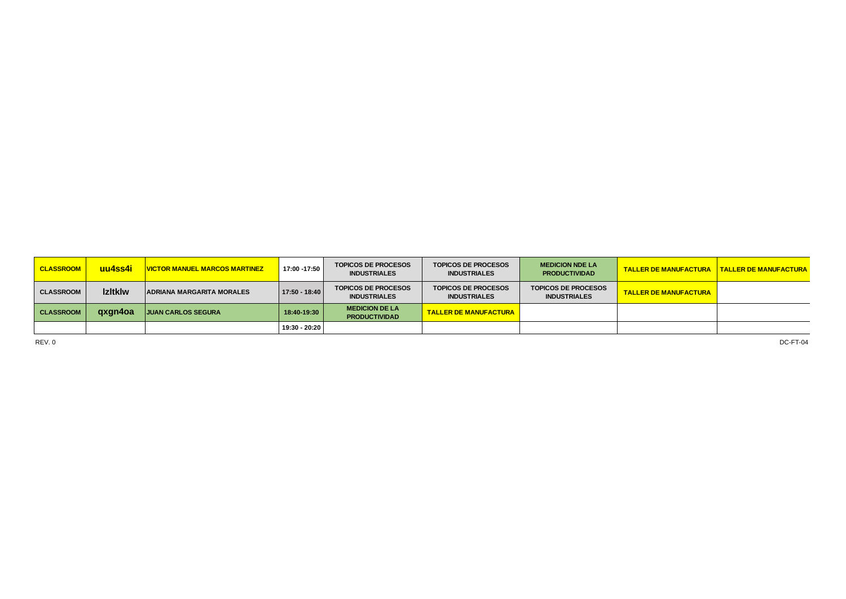| <b>CLASSROOM</b> | <u>uu4ss4i </u> | <u> VICTOR MANUEL MARCOS MARTINEZ</u> | $17:00 - 17:50$ | <b>TOPICOS DE PROCESOS</b><br><b>INDUSTRIALES</b> | <b>TOPICOS DE PROCESOS</b><br><b>INDUSTRIALES</b> | <b>MEDICION NDE LA</b><br><b>PRODUCTIVIDAD</b>    | <b>TALLER DE MANUFACTURA</b> | <b>TALLER DE MANUFACTURA</b> |
|------------------|-----------------|---------------------------------------|-----------------|---------------------------------------------------|---------------------------------------------------|---------------------------------------------------|------------------------------|------------------------------|
| <b>CLASSROOM</b> | <b>Izitklw</b>  | <b>ADRIANA MARGARITA MORALES</b>      | $17:50 - 18:40$ | <b>TOPICOS DE PROCESOS</b><br><b>INDUSTRIALES</b> | <b>TOPICOS DE PROCESOS</b><br><b>INDUSTRIALES</b> | <b>TOPICOS DE PROCESOS</b><br><b>INDUSTRIALES</b> | <b>TALLER DE MANUFACTURA</b> |                              |
| <b>CLASSROOM</b> | gxgn4oa         | <b>JUAN CARLOS SEGURA</b>             | 18:40-19:30     | <b>MEDICION DE LA</b><br><b>PRODUCTIVIDAD</b>     | <b>TALLER DE MANUFACTURA  </b>                    |                                                   |                              |                              |
|                  |                 |                                       | 19:30 - 20:20   |                                                   |                                                   |                                                   |                              |                              |

REV. 0 DC-FT-04